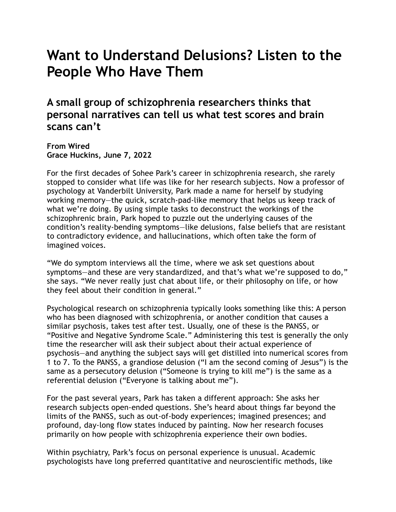## **Want to Understand Delusions? Listen to the People Who Have Them**

**A small group of schizophrenia researchers thinks that personal narratives can tell us what test scores and brain scans can't.**

**From Wired Grace Huckins, June 7, 2022**

For the first decades of Sohee Park's career in schizophrenia research, she rarely stopped to consider what life was like for her research subjects. Now a professor of psychology at Vanderbilt University, Park made a name for herself by studying working memory—the quick, scratch-pad-like memory that helps us keep track of what we're doing. By using simple tasks to deconstruct the workings of the schizophrenic brain, Park hoped to puzzle out the underlying causes of the condition's reality-bending symptoms—like delusions, false beliefs that are resistant to contradictory evidence, and hallucinations, which often take the form of imagined voices.

"We do symptom interviews all the time, where we ask set questions about symptoms—and these are very standardized, and that's what we're supposed to do," she says. "We never really just chat about life, or their philosophy on life, or how they feel about their condition in general."

Psychological research on schizophrenia typically looks something like this: A person who has been diagnosed with schizophrenia, or another condition that causes a similar psychosis, takes test after test. Usually, one of these is the PANSS, or "Positive and Negative Syndrome Scale." Administering this test is generally the only time the researcher will ask their subject about their actual experience of psychosis—and anything the subject says will get distilled into numerical scores from 1 to 7. To the PANSS, a grandiose delusion ("I am the second coming of Jesus") is the same as a persecutory delusion ("Someone is trying to kill me") is the same as a referential delusion ("Everyone is talking about me").

For the past several years, Park has taken a different approach: She asks her research subjects open-ended questions. She's heard about things far beyond the limits of the PANSS, such as out-of-body experiences; imagined presences; and profound, day-long flow states induced by painting. Now her research focuses primarily on how people with schizophrenia experience their own bodies.

Within psychiatry, Park's focus on personal experience is unusual. Academic psychologists have long preferred quantitative and neuroscientific methods, like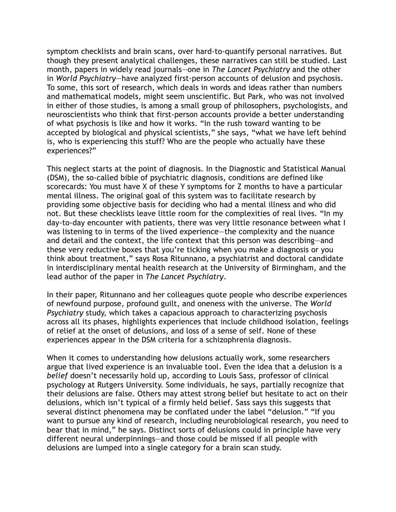symptom checklists and brain scans, over hard-to-quantify personal narratives. But though they present analytical challenges, these narratives can still be studied. Last month, papers in widely read journals—one in *The Lancet Psychiatry* and the other in *World Psychiatry*—have analyzed first-person accounts of delusion and psychosis. To some, this sort of research, which deals in words and ideas rather than numbers and mathematical models, might seem unscientific. But Park, who was not involved in either of those studies, is among a small group of philosophers, psychologists, and neuroscientists who think that first-person accounts provide a better understanding of what psychosis is like and how it works. "In the rush toward wanting to be accepted by biological and physical scientists," she says, "what we have left behind is, who is experiencing this stuff? Who are the people who actually have these experiences?"

This neglect starts at the point of diagnosis. In the Diagnostic and Statistical Manual (DSM), the so-called bible of psychiatric diagnosis, conditions are defined like scorecards: You must have X of these Y symptoms for Z months to have a particular mental illness. The original goal of this system was to facilitate research by providing some objective basis for deciding who had a mental illness and who did not. But these checklists leave little room for the complexities of real lives. "In my day-to-day encounter with patients, there was very little resonance between what I was listening to in terms of the lived experience—the complexity and the nuance and detail and the context, the life context that this person was describing—and these very reductive boxes that you're ticking when you make a diagnosis or you think about treatment," says Rosa Ritunnano, a psychiatrist and doctoral candidate in interdisciplinary mental health research at the University of Birmingham, and the lead author of the paper in *The Lancet Psychiatry*.

In their paper, Ritunnano and her colleagues quote people who describe experiences of newfound purpose, profound guilt, and oneness with the universe. The *World Psychiatry* study, which takes a capacious approach to characterizing psychosis across all its phases, highlights experiences that include childhood isolation, feelings of relief at the onset of delusions, and loss of a sense of self. None of these experiences appear in the DSM criteria for a schizophrenia diagnosis.

When it comes to understanding how delusions actually work, some researchers argue that lived experience is an invaluable tool. Even the idea that a delusion is a *belief* doesn't necessarily hold up, according to Louis Sass, professor of clinical psychology at Rutgers University. Some individuals, he says, partially recognize that their delusions are false. Others may attest strong belief but hesitate to act on their delusions, which isn't typical of a firmly held belief. Sass says this suggests that several distinct phenomena may be conflated under the label "delusion." "If you want to pursue any kind of research, including neurobiological research, you need to bear that in mind," he says. Distinct sorts of delusions could in principle have very different neural underpinnings—and those could be missed if all people with delusions are lumped into a single category for a brain scan study.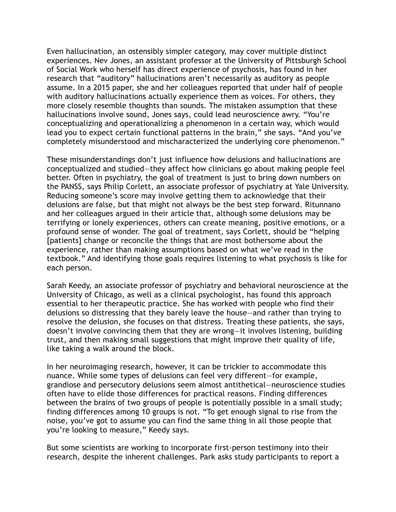Even hallucination, an ostensibly simpler category, may cover multiple distinct experiences. Nev Jones, an assistant professor at the University of Pittsburgh School of Social Work who herself has direct experience of psychosis, has found in her research that "auditory" hallucinations aren't necessarily as auditory as people assume. In a 2015 paper, she and her colleagues reported that under half of people with auditory hallucinations actually experience them as voices. For others, they more closely resemble thoughts than sounds. The mistaken assumption that these hallucinations involve sound, Jones says, could lead neuroscience awry. "You're conceptualizing and operationalizing a phenomenon in a certain way, which would lead you to expect certain functional patterns in the brain," she says. "And you've completely misunderstood and mischaracterized the underlying core phenomenon."

These misunderstandings don't just influence how delusions and hallucinations are conceptualized and studied—they affect how clinicians go about making people feel better. Often in psychiatry, the goal of treatment is just to bring down numbers on the PANSS, says Philip Corlett, an associate professor of psychiatry at Yale University. Reducing someone's score may involve getting them to acknowledge that their delusions are false, but that might not always be the best step forward. Ritunnano and her colleagues argued in their article that, although some delusions may be terrifying or lonely experiences, others can create meaning, positive emotions, or a profound sense of wonder. The goal of treatment, says Corlett, should be "helping [patients] change or reconcile the things that are most bothersome about the experience, rather than making assumptions based on what we've read in the textbook." And identifying those goals requires listening to what psychosis is like for each person.

Sarah Keedy, an associate professor of psychiatry and behavioral neuroscience at the University of Chicago, as well as a clinical psychologist, has found this approach essential to her therapeutic practice. She has worked with people who find their delusions so distressing that they barely leave the house—and rather than trying to resolve the delusion, she focuses on that distress. Treating these patients, she says, doesn't involve convincing them that they are wrong—it involves listening, building trust, and then making small suggestions that might improve their quality of life, like taking a walk around the block.

In her neuroimaging research, however, it can be trickier to accommodate this nuance. While some types of delusions can feel very different—for example, grandiose and persecutory delusions seem almost antithetical—neuroscience studies often have to elide those differences for practical reasons. Finding differences between the brains of two groups of people is potentially possible in a small study; finding differences among 10 groups is not. "To get enough signal to rise from the noise, you've got to assume you can find the same thing in all those people that you're looking to measure," Keedy says.

But some scientists are working to incorporate first-person testimony into their research, despite the inherent challenges. Park asks study participants to report a